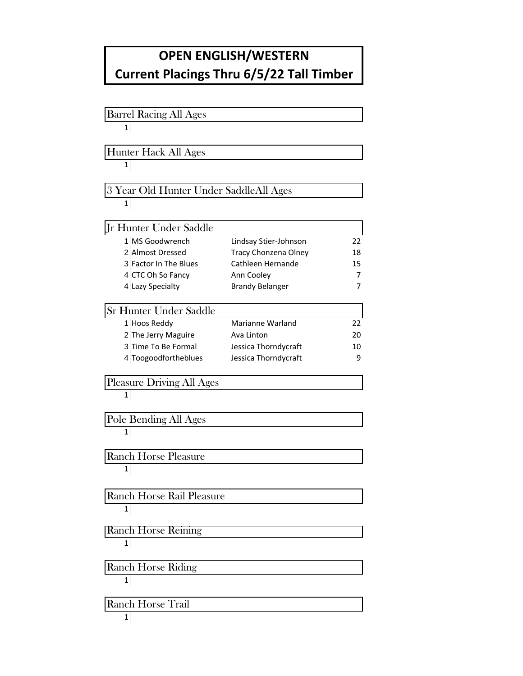## **OPEN ENGLISH/WESTERN Current Placings Thru 6/5/22 Tall Timber**

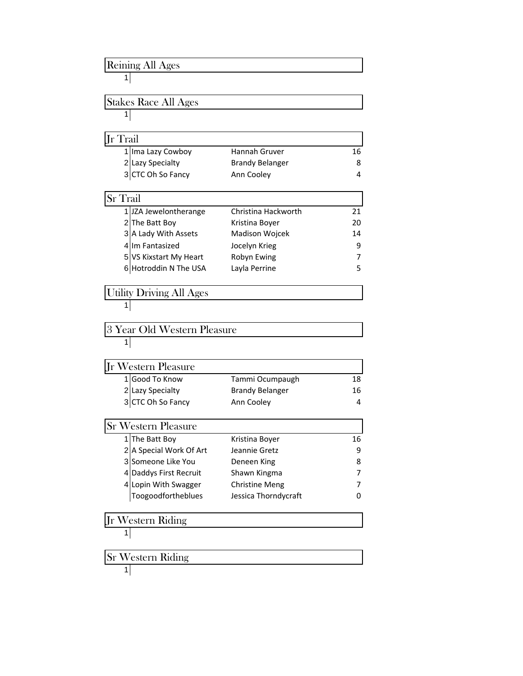## Reining All Ages

## 

Stakes Race All Ages 

| <b>I</b> r Trail |                                       |                        |    |
|------------------|---------------------------------------|------------------------|----|
|                  |                                       | Hannah Gruver          | 16 |
|                  | 1 Ima Lazy Cowboy<br>2 Lazy Specialty | <b>Brandy Belanger</b> | 8  |
|                  | 3 CTC Oh So Fancy                     | Ann Cooley             | 4  |

| <b>Sr</b> Trail        |                     |    |  |  |
|------------------------|---------------------|----|--|--|
| 1 JZA Jewelontherange  | Christina Hackworth | 21 |  |  |
| 2 The Batt Boy         | Kristina Boyer      | 20 |  |  |
| 3 A Lady With Assets   | Madison Wojcek      | 14 |  |  |
| 4 Im Fantasized        | Jocelyn Krieg       | 9  |  |  |
| 5 VS Kixstart My Heart | Robyn Ewing         | 7  |  |  |
| 6 Hotroddin N The USA  | Layla Perrine       | 5  |  |  |

Utility Driving All Ages

3 Year Old Western Pleasure 

| Jr Western Pleasure |                   |                        |    |
|---------------------|-------------------|------------------------|----|
|                     | 1 Good To Know    | Tammi Ocumpaugh        | 18 |
|                     | 2 Lazy Specialty  | <b>Brandy Belanger</b> | 16 |
|                     | 3 CTC Oh So Fancy | Ann Cooley             | 4  |

| <b>Sr Western Pleasure</b> |                       |    |  |
|----------------------------|-----------------------|----|--|
| 1 The Batt Boy             | Kristina Boyer        | 16 |  |
| 2 A Special Work Of Art    | Jeannie Gretz         | q  |  |
| 3 Someone Like You         | Deneen King           | 8  |  |
| 4 Daddys First Recruit     | Shawn Kingma          |    |  |
| 4 Lopin With Swagger       | <b>Christine Meng</b> |    |  |
| Toogoodfortheblues         | Jessica Thorndycraft  |    |  |

Jr Western Riding

$$
\begin{array}{c|c}\n1 \\
1\n\end{array}
$$

Sr Western Riding